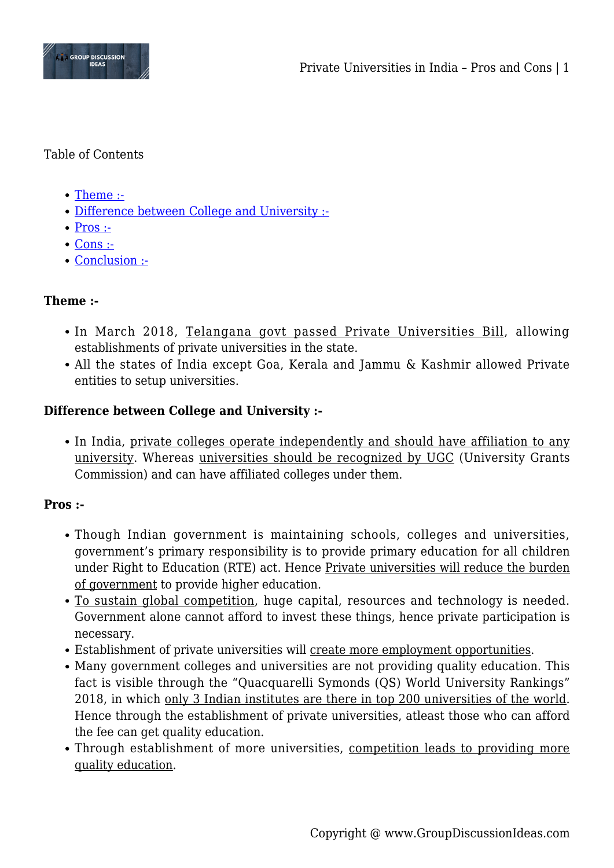

#### Table of Contents

- [Theme :-](#page--1-0)
- [Difference between College and University :-](#page--1-0)
- $\bullet$  [Pros :-](#page--1-0)
- [Cons :-](#page--1-0)
- [Conclusion :-](#page--1-0)

# **Theme :-**

- In March 2018, Telangana govt passed Private Universities Bill, allowing establishments of private universities in the state.
- All the states of India except Goa, Kerala and Jammu & Kashmir allowed Private entities to setup universities.

# **Difference between College and University :-**

• In India, private colleges operate independently and should have affiliation to any university. Whereas universities should be recognized by UGC (University Grants Commission) and can have affiliated colleges under them.

# **Pros :-**

- Though Indian government is maintaining schools, colleges and universities, government's primary responsibility is to provide primary education for all children under Right to Education (RTE) act. Hence Private universities will reduce the burden of government to provide higher education.
- To sustain global competition, huge capital, resources and technology is needed. Government alone cannot afford to invest these things, hence private participation is necessary.
- Establishment of private universities will create more employment opportunities.
- Many government colleges and universities are not providing quality education. This fact is visible through the "Quacquarelli Symonds (QS) World University Rankings" 2018, in which only 3 Indian institutes are there in top 200 universities of the world. Hence through the establishment of private universities, atleast those who can afford the fee can get quality education.
- Through establishment of more universities, competition leads to providing more quality education.